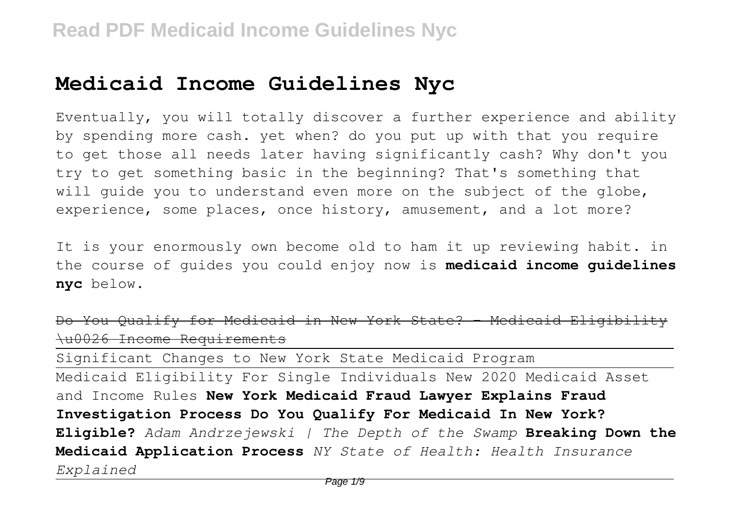## **Medicaid Income Guidelines Nyc**

Eventually, you will totally discover a further experience and ability by spending more cash. yet when? do you put up with that you require to get those all needs later having significantly cash? Why don't you try to get something basic in the beginning? That's something that will quide you to understand even more on the subject of the globe, experience, some places, once history, amusement, and a lot more?

It is your enormously own become old to ham it up reviewing habit. in the course of guides you could enjoy now is **medicaid income guidelines nyc** below.

```
Do You Qualify for Medicaid in New York State? - Medicaid
\u0026 Income Requirements
```
Significant Changes to New York State Medicaid Program Medicaid Eligibility For Single Individuals New 2020 Medicaid Asset and Income Rules **New York Medicaid Fraud Lawyer Explains Fraud Investigation Process Do You Qualify For Medicaid In New York? Eligible?** *Adam Andrzejewski | The Depth of the Swamp* **Breaking Down the Medicaid Application Process** *NY State of Health: Health Insurance Explained*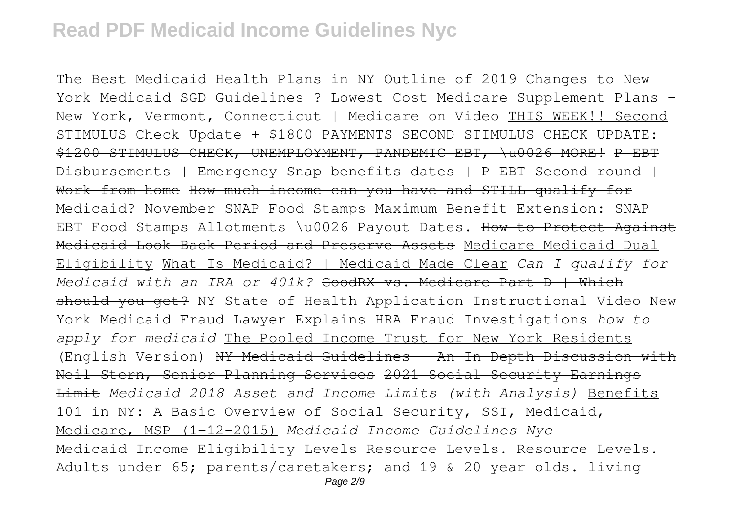The Best Medicaid Health Plans in NY Outline of 2019 Changes to New York Medicaid SGD Guidelines ? Lowest Cost Medicare Supplement Plans - New York, Vermont, Connecticut | Medicare on Video THIS WEEK!! Second STIMULUS Check Update + \$1800 PAYMENTS SECOND STIMULUS CHECK UPDATE: \$1200 STIMULUS CHECK, UNEMPLOYMENT, PANDEMIC EBT, \u0026 MORE! P EBT Disbursements | Emergency Snap benefits dates | P EBT Second round | Work from home How much income can you have and STILL qualify for Medicaid? November SNAP Food Stamps Maximum Benefit Extension: SNAP EBT Food Stamps Allotments \u0026 Payout Dates. How to Protect Against Medicaid Look Back Period and Preserve Assets Medicare Medicaid Dual Eligibility What Is Medicaid? | Medicaid Made Clear *Can I qualify for Medicaid with an IRA or 401k?* GoodRX vs. Medicare Part D | Which should you get? NY State of Health Application Instructional Video New York Medicaid Fraud Lawyer Explains HRA Fraud Investigations *how to apply for medicaid* The Pooled Income Trust for New York Residents (English Version) NY Medicaid Guidelines - An In Depth Discussion with Neil Stern, Senior Planning Services 2021 Social Security Earnings Limit *Medicaid 2018 Asset and Income Limits (with Analysis)* Benefits 101 in NY: A Basic Overview of Social Security, SSI, Medicaid, Medicare, MSP (1-12-2015) *Medicaid Income Guidelines Nyc* Medicaid Income Eligibility Levels Resource Levels. Resource Levels. Adults under 65; parents/caretakers; and 19 & 20 year olds. living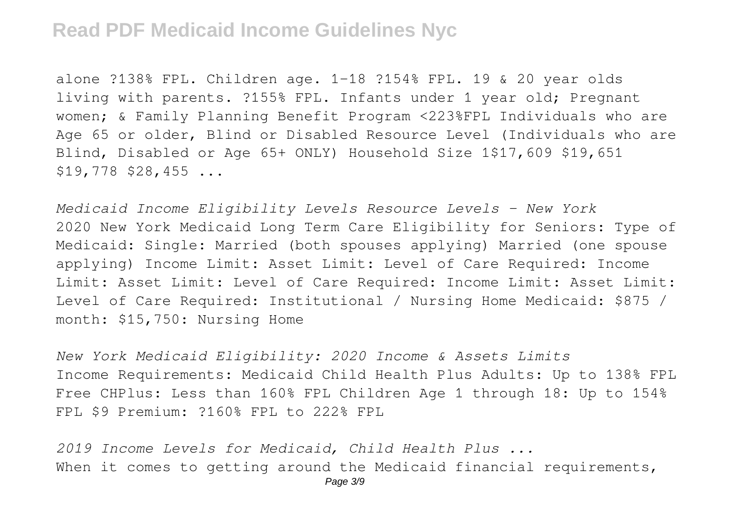alone ?138% FPL. Children age. 1-18 ?154% FPL. 19 & 20 year olds living with parents. ?155% FPL. Infants under 1 year old; Pregnant women; & Family Planning Benefit Program <223%FPL Individuals who are Age 65 or older, Blind or Disabled Resource Level (Individuals who are Blind, Disabled or Age 65+ ONLY) Household Size 1\$17,609 \$19,651  $$19,778$   $$28,455$  ...

*Medicaid Income Eligibility Levels Resource Levels - New York* 2020 New York Medicaid Long Term Care Eligibility for Seniors: Type of Medicaid: Single: Married (both spouses applying) Married (one spouse applying) Income Limit: Asset Limit: Level of Care Required: Income Limit: Asset Limit: Level of Care Required: Income Limit: Asset Limit: Level of Care Required: Institutional / Nursing Home Medicaid: \$875 / month: \$15,750: Nursing Home

*New York Medicaid Eligibility: 2020 Income & Assets Limits* Income Requirements: Medicaid Child Health Plus Adults: Up to 138% FPL Free CHPlus: Less than 160% FPL Children Age 1 through 18: Up to 154% FPL \$9 Premium: ?160% FPL to 222% FPL

*2019 Income Levels for Medicaid, Child Health Plus ...* When it comes to getting around the Medicaid financial requirements,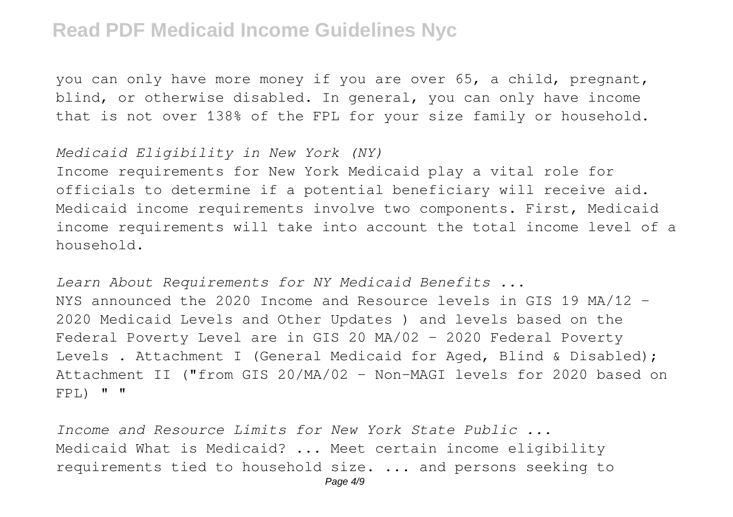you can only have more money if you are over 65, a child, pregnant, blind, or otherwise disabled. In general, you can only have income that is not over 138% of the FPL for your size family or household.

*Medicaid Eligibility in New York (NY)*

Income requirements for New York Medicaid play a vital role for officials to determine if a potential beneficiary will receive aid. Medicaid income requirements involve two components. First, Medicaid income requirements will take into account the total income level of a household.

*Learn About Requirements for NY Medicaid Benefits ...* NYS announced the 2020 Income and Resource levels in GIS 19 MA/12 – 2020 Medicaid Levels and Other Updates ) and levels based on the Federal Poverty Level are in GIS 20 MA/02 – 2020 Federal Poverty Levels . Attachment I (General Medicaid for Aged, Blind & Disabled); Attachment II ("from GIS 20/MA/02 - Non-MAGI levels for 2020 based on  $FPL$ )  $" "$ 

*Income and Resource Limits for New York State Public ...* Medicaid What is Medicaid? ... Meet certain income eligibility requirements tied to household size. ... and persons seeking to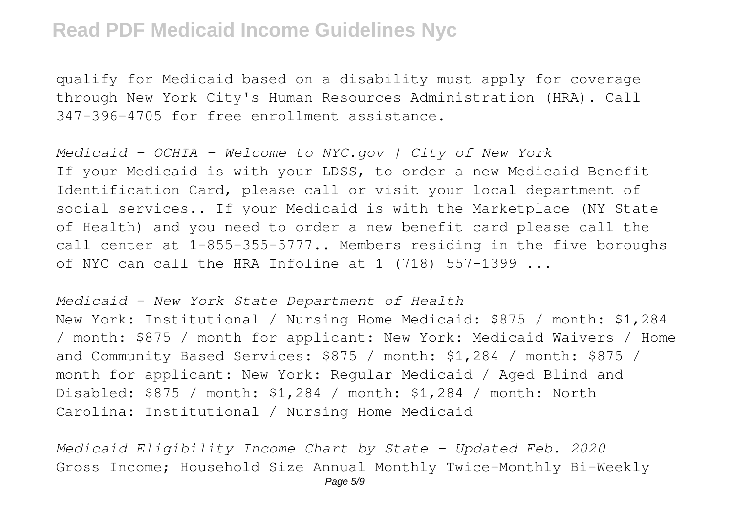qualify for Medicaid based on a disability must apply for coverage through New York City's Human Resources Administration (HRA). Call 347-396-4705 for free enrollment assistance.

*Medicaid - OCHIA - Welcome to NYC.gov | City of New York* If your Medicaid is with your LDSS, to order a new Medicaid Benefit Identification Card, please call or visit your local department of social services.. If your Medicaid is with the Marketplace (NY State of Health) and you need to order a new benefit card please call the call center at 1-855-355-5777.. Members residing in the five boroughs of NYC can call the HRA Infoline at 1 (718) 557-1399 ...

*Medicaid - New York State Department of Health* New York: Institutional / Nursing Home Medicaid: \$875 / month: \$1,284 / month: \$875 / month for applicant: New York: Medicaid Waivers / Home and Community Based Services: \$875 / month: \$1,284 / month: \$875 / month for applicant: New York: Regular Medicaid / Aged Blind and Disabled: \$875 / month: \$1,284 / month: \$1,284 / month: North Carolina: Institutional / Nursing Home Medicaid

*Medicaid Eligibility Income Chart by State – Updated Feb. 2020* Gross Income; Household Size Annual Monthly Twice-Monthly Bi-Weekly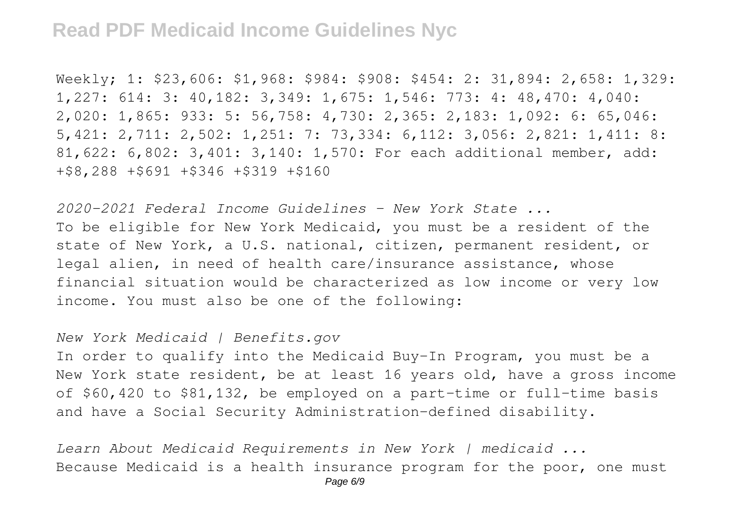Weekly; 1: \$23,606: \$1,968: \$984: \$908: \$454: 2: 31,894: 2,658: 1,329: 1,227: 614: 3: 40,182: 3,349: 1,675: 1,546: 773: 4: 48,470: 4,040: 2,020: 1,865: 933: 5: 56,758: 4,730: 2,365: 2,183: 1,092: 6: 65,046: 5,421: 2,711: 2,502: 1,251: 7: 73,334: 6,112: 3,056: 2,821: 1,411: 8: 81,622: 6,802: 3,401: 3,140: 1,570: For each additional member, add: +\$8,288 +\$691 +\$346 +\$319 +\$160

*2020-2021 Federal Income Guidelines - New York State ...* To be eligible for New York Medicaid, you must be a resident of the state of New York, a U.S. national, citizen, permanent resident, or legal alien, in need of health care/insurance assistance, whose financial situation would be characterized as low income or very low income. You must also be one of the following:

*New York Medicaid | Benefits.gov*

In order to qualify into the Medicaid Buy-In Program, you must be a New York state resident, be at least 16 years old, have a gross income of \$60,420 to \$81,132, be employed on a part-time or full-time basis and have a Social Security Administration-defined disability.

*Learn About Medicaid Requirements in New York | medicaid ...* Because Medicaid is a health insurance program for the poor, one must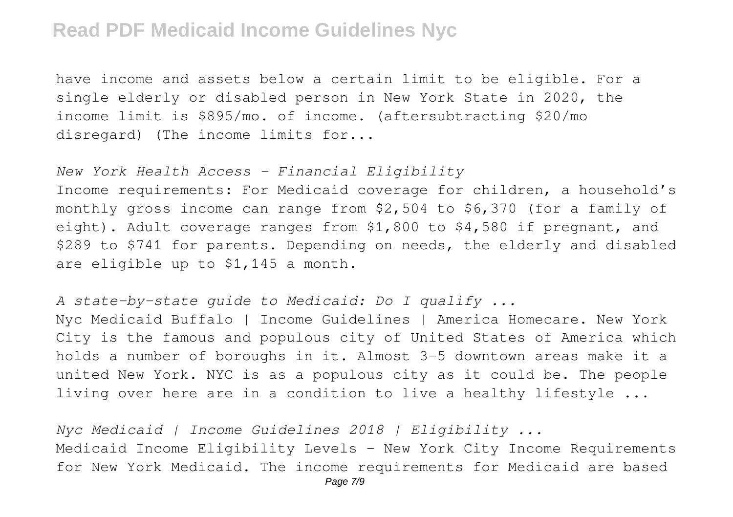have income and assets below a certain limit to be eligible. For a single elderly or disabled person in New York State in 2020, the income limit is \$895/mo. of income. (aftersubtracting \$20/mo disregard) (The income limits for...

*New York Health Access - Financial Eligibility*

Income requirements: For Medicaid coverage for children, a household's monthly gross income can range from \$2,504 to \$6,370 (for a family of eight). Adult coverage ranges from \$1,800 to \$4,580 if pregnant, and \$289 to \$741 for parents. Depending on needs, the elderly and disabled are eligible up to \$1,145 a month.

*A state-by-state guide to Medicaid: Do I qualify ...*

Nyc Medicaid Buffalo | Income Guidelines | America Homecare. New York City is the famous and populous city of United States of America which holds a number of boroughs in it. Almost 3-5 downtown areas make it a united New York. NYC is as a populous city as it could be. The people living over here are in a condition to live a healthy lifestyle ...

*Nyc Medicaid | Income Guidelines 2018 | Eligibility ...* Medicaid Income Eligibility Levels - New York City Income Requirements for New York Medicaid. The income requirements for Medicaid are based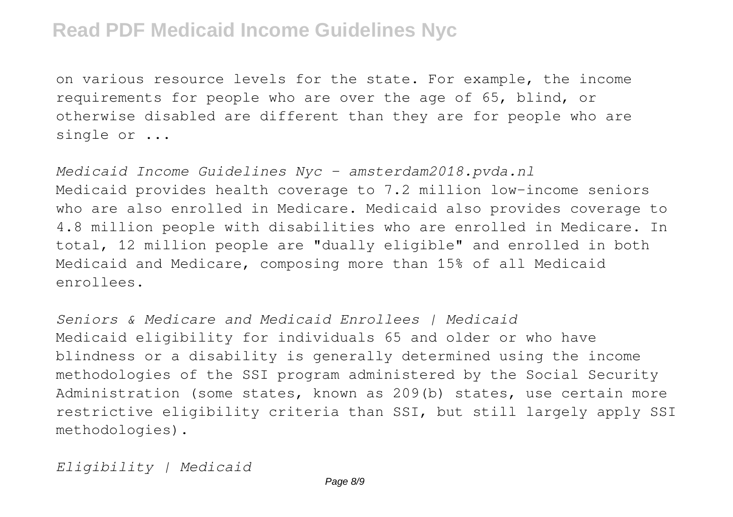on various resource levels for the state. For example, the income requirements for people who are over the age of 65, blind, or otherwise disabled are different than they are for people who are single or ...

*Medicaid Income Guidelines Nyc - amsterdam2018.pvda.nl* Medicaid provides health coverage to 7.2 million low-income seniors who are also enrolled in Medicare. Medicaid also provides coverage to 4.8 million people with disabilities who are enrolled in Medicare. In total, 12 million people are "dually eligible" and enrolled in both Medicaid and Medicare, composing more than 15% of all Medicaid enrollees.

*Seniors & Medicare and Medicaid Enrollees | Medicaid* Medicaid eligibility for individuals 65 and older or who have blindness or a disability is generally determined using the income methodologies of the SSI program administered by the Social Security Administration (some states, known as 209(b) states, use certain more restrictive eligibility criteria than SSI, but still largely apply SSI methodologies).

*Eligibility | Medicaid*